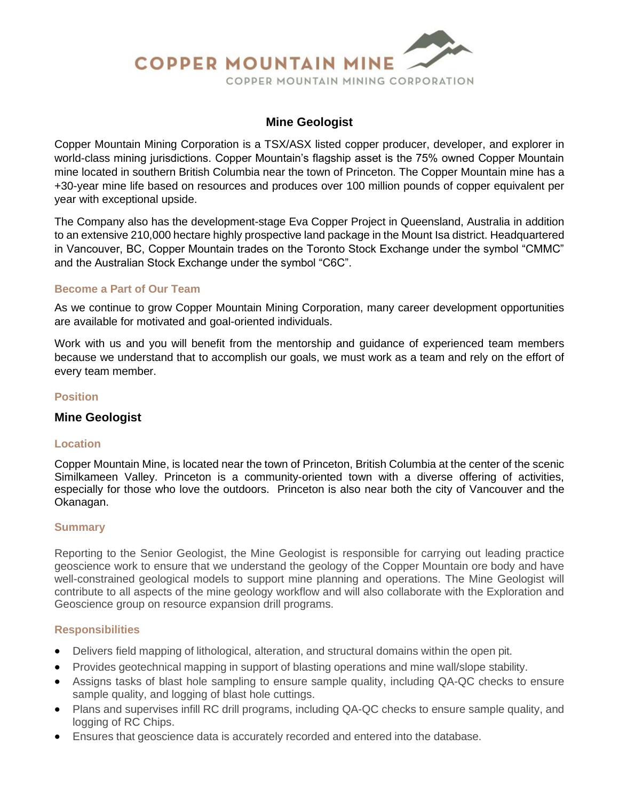

# **Mine Geologist**

Copper Mountain Mining Corporation is a TSX/ASX listed copper producer, developer, and explorer in world-class mining jurisdictions. Copper Mountain's flagship asset is the 75% owned Copper Mountain mine located in southern British Columbia near the town of Princeton. The Copper Mountain mine has a +30-year mine life based on resources and produces over 100 million pounds of copper equivalent per year with exceptional upside.

The Company also has the development-stage Eva Copper Project in Queensland, Australia in addition to an extensive 210,000 hectare highly prospective land package in the Mount Isa district. Headquartered in Vancouver, BC, Copper Mountain trades on the Toronto Stock Exchange under the symbol "CMMC" and the Australian Stock Exchange under the symbol "C6C".

### **Become a Part of Our Team**

As we continue to grow Copper Mountain Mining Corporation, many career development opportunities are available for motivated and goal-oriented individuals.

Work with us and you will benefit from the mentorship and guidance of experienced team members because we understand that to accomplish our goals, we must work as a team and rely on the effort of every team member.

### **Position**

## **Mine Geologist**

#### **Location**

Copper Mountain Mine, is located near the town of Princeton, British Columbia at the center of the scenic Similkameen Valley. Princeton is a community-oriented town with a diverse offering of activities, especially for those who love the outdoors. Princeton is also near both the city of Vancouver and the Okanagan.

#### **Summary**

Reporting to the Senior Geologist, the Mine Geologist is responsible for carrying out leading practice geoscience work to ensure that we understand the geology of the Copper Mountain ore body and have well-constrained geological models to support mine planning and operations. The Mine Geologist will contribute to all aspects of the mine geology workflow and will also collaborate with the Exploration and Geoscience group on resource expansion drill programs.

#### **Responsibilities**

- Delivers field mapping of lithological, alteration, and structural domains within the open pit.
- Provides geotechnical mapping in support of blasting operations and mine wall/slope stability.
- Assigns tasks of blast hole sampling to ensure sample quality, including QA-QC checks to ensure sample quality, and logging of blast hole cuttings.
- Plans and supervises infill RC drill programs, including QA-QC checks to ensure sample quality, and logging of RC Chips.
- Ensures that geoscience data is accurately recorded and entered into the database.